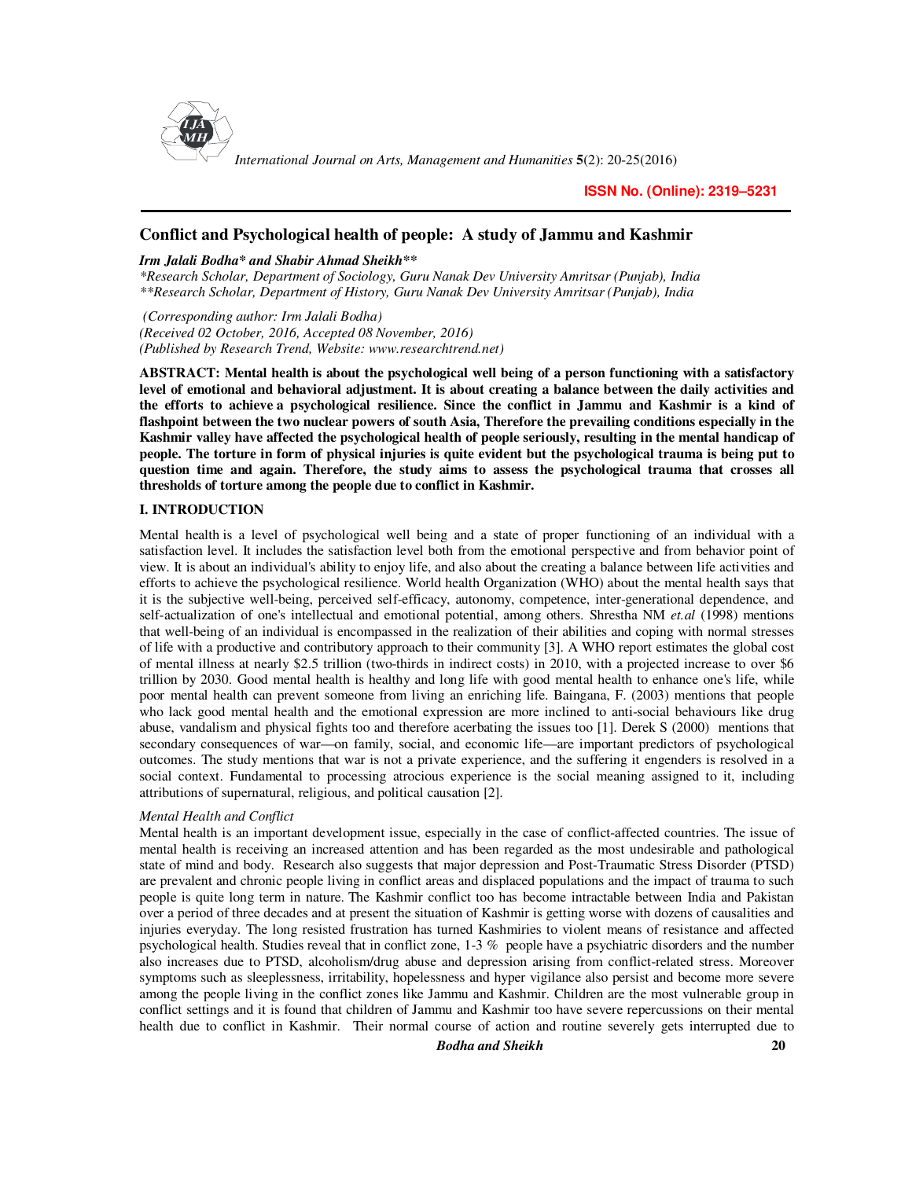

*International Journal on Arts, Management and Humanities* **5**(2): 20-25(2016)

### **Conflict and Psychological health of people: A study of Jammu and Kashmir**

#### *Irm Jalali Bodha\* and Shabir Ahmad Sheikh\*\**

*\*Research Scholar, Department of Sociology, Guru Nanak Dev University Amritsar (Punjab), India \*\*Research Scholar, Department of History, Guru Nanak Dev University Amritsar (Punjab), India* 

 *(Corresponding author: Irm Jalali Bodha) (Received 02 October, 2016, Accepted 08 November, 2016) (Published by Research Trend, Website: www.researchtrend.net)* 

**ABSTRACT: Mental health is about the psychological well being of a person functioning with a satisfactory level of emotional and behavioral adjustment. It is about creating a balance between the daily activities and the efforts to achieve a psychological resilience. Since the conflict in Jammu and Kashmir is a kind of flashpoint between the two nuclear powers of south Asia, Therefore the prevailing conditions especially in the Kashmir valley have affected the psychological health of people seriously, resulting in the mental handicap of people. The torture in form of physical injuries is quite evident but the psychological trauma is being put to question time and again. Therefore, the study aims to assess the psychological trauma that crosses all thresholds of torture among the people due to conflict in Kashmir.** 

#### **I. INTRODUCTION**

Mental health is a level of psychological well being and a state of proper functioning of an individual with a satisfaction level. It includes the satisfaction level both from the emotional perspective and from behavior point of view. It is about an individual's ability to enjoy life, and also about the creating a balance between life activities and efforts to achieve the psychological resilience. World health Organization (WHO) about the mental health says that it is the subjective well-being, perceived self-efficacy, autonomy, competence, inter-generational dependence, and self-actualization of one's intellectual and emotional potential, among others. Shrestha NM *et.al* (1998) mentions that well-being of an individual is encompassed in the realization of their abilities and coping with normal stresses of life with a productive and contributory approach to their community [3]. A WHO report estimates the global cost of mental illness at nearly \$2.5 trillion (two-thirds in indirect costs) in 2010, with a projected increase to over \$6 trillion by 2030. Good mental health is healthy and long life with good mental health to enhance one's life, while poor mental health can prevent someone from living an enriching life. Baingana, F. (2003) mentions that people who lack good mental health and the emotional expression are more inclined to anti-social behaviours like drug abuse, vandalism and physical fights too and therefore acerbating the issues too [1]. Derek S (2000) mentions that secondary consequences of war—on family, social, and economic life—are important predictors of psychological outcomes. The study mentions that war is not a private experience, and the suffering it engenders is resolved in a social context. Fundamental to processing atrocious experience is the social meaning assigned to it, including attributions of supernatural, religious, and political causation [2].

#### *Mental Health and Conflict*

Mental health is an important development issue, especially in the case of conflict-affected countries. The issue of mental health is receiving an increased attention and has been regarded as the most undesirable and pathological state of mind and body. Research also suggests that major depression and Post-Traumatic Stress Disorder (PTSD) are prevalent and chronic people living in conflict areas and displaced populations and the impact of trauma to such people is quite long term in nature. The Kashmir conflict too has become intractable between India and Pakistan over a period of three decades and at present the situation of Kashmir is getting worse with dozens of causalities and injuries everyday. The long resisted frustration has turned Kashmiries to violent means of resistance and affected psychological health. Studies reveal that in conflict zone, 1-3 % people have a psychiatric disorders and the number also increases due to PTSD, alcoholism/drug abuse and depression arising from conflict-related stress. Moreover symptoms such as sleeplessness, irritability, hopelessness and hyper vigilance also persist and become more severe among the people living in the conflict zones like Jammu and Kashmir. Children are the most vulnerable group in conflict settings and it is found that children of Jammu and Kashmir too have severe repercussions on their mental health due to conflict in Kashmir. Their normal course of action and routine severely gets interrupted due to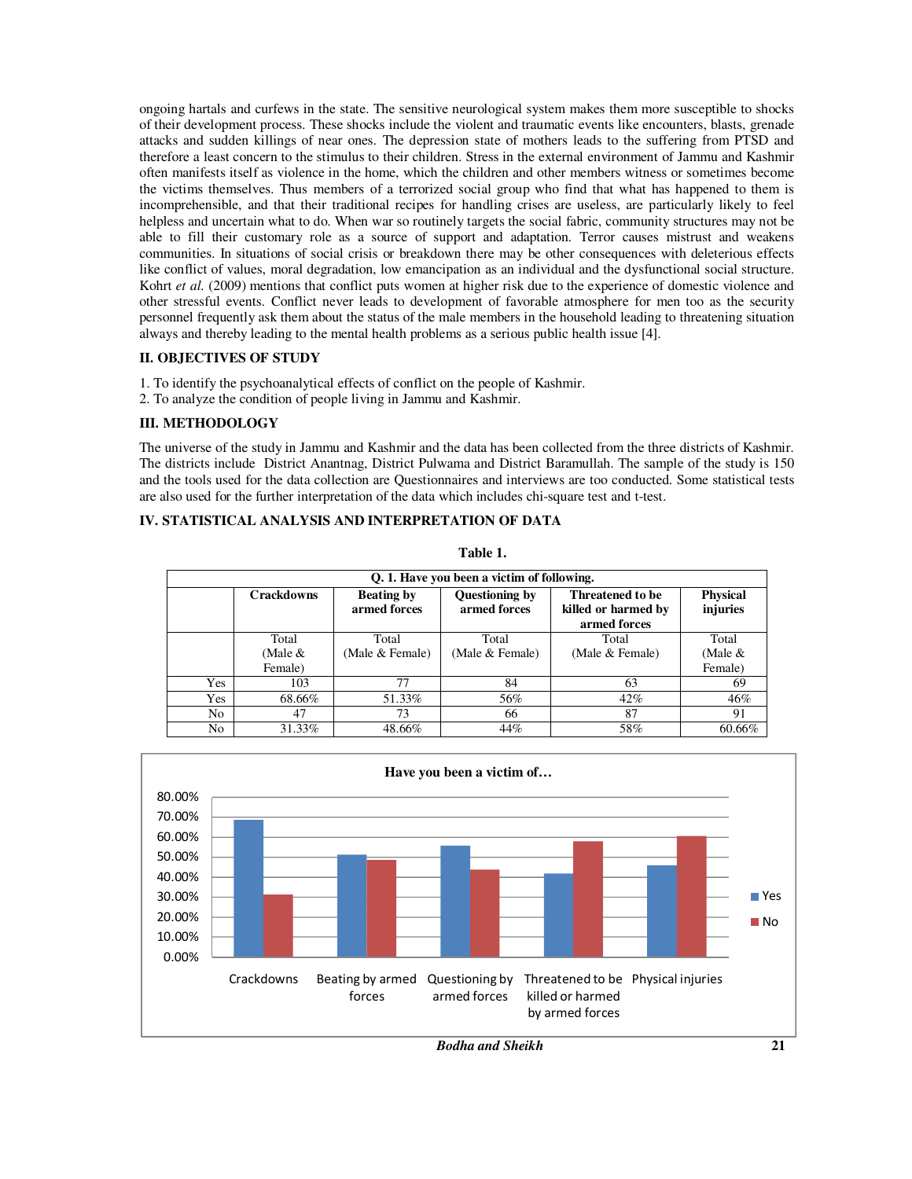ongoing hartals and curfews in the state. The sensitive neurological system makes them more susceptible to shocks of their development process. These shocks include the violent and traumatic events like encounters, blasts, grenade attacks and sudden killings of near ones. The depression state of mothers leads to the suffering from PTSD and therefore a least concern to the stimulus to their children. Stress in the external environment of Jammu and Kashmir often manifests itself as violence in the home, which the children and other members witness or sometimes become the victims themselves. Thus members of a terrorized social group who find that what has happened to them is incomprehensible, and that their traditional recipes for handling crises are useless, are particularly likely to feel helpless and uncertain what to do. When war so routinely targets the social fabric, community structures may not be able to fill their customary role as a source of support and adaptation. Terror causes mistrust and weakens communities. In situations of social crisis or breakdown there may be other consequences with deleterious effects like conflict of values, moral degradation, low emancipation as an individual and the dysfunctional social structure. Kohrt *et al.* (2009) mentions that conflict puts women at higher risk due to the experience of domestic violence and other stressful events. Conflict never leads to development of favorable atmosphere for men too as the security personnel frequently ask them about the status of the male members in the household leading to threatening situation always and thereby leading to the mental health problems as a serious public health issue [4].

#### **II. OBJECTIVES OF STUDY**

- 1. To identify the psychoanalytical effects of conflict on the people of Kashmir.
- 2. To analyze the condition of people living in Jammu and Kashmir.

## **III. METHODOLOGY**

The universe of the study in Jammu and Kashmir and the data has been collected from the three districts of Kashmir. The districts include District Anantnag, District Pulwama and District Baramullah. The sample of the study is 150 and the tools used for the data collection are Questionnaires and interviews are too conducted. Some statistical tests are also used for the further interpretation of the data which includes chi-square test and t-test.

# **IV. STATISTICAL ANALYSIS AND INTERPRETATION OF DATA**

|     | Q. 1. Have you been a victim of following.                                                                                                          |                 |                 |                 |                             |  |  |  |  |
|-----|-----------------------------------------------------------------------------------------------------------------------------------------------------|-----------------|-----------------|-----------------|-----------------------------|--|--|--|--|
|     | <b>Crackdowns</b><br>Questioning by<br><b>Beating by</b><br>Threatened to be<br>armed forces<br>armed forces<br>killed or harmed by<br>armed forces |                 |                 |                 | <b>Physical</b><br>injuries |  |  |  |  |
|     | Total                                                                                                                                               | Total           | Total           | Total           | Total                       |  |  |  |  |
|     | (Male $&$                                                                                                                                           | (Male & Female) | (Male & Female) | (Male & Female) | (Male $\&$                  |  |  |  |  |
|     | Female)                                                                                                                                             |                 |                 |                 | Female)                     |  |  |  |  |
| Yes | 103                                                                                                                                                 | 77              | 84              | 63              | 69                          |  |  |  |  |
| Yes | 68.66%                                                                                                                                              | 51.33%          | 56%             | $42\%$          | 46%                         |  |  |  |  |
| No. | 47                                                                                                                                                  | 73              | 66              | 87              | 91                          |  |  |  |  |
| No  | 31.33%                                                                                                                                              | 48.66%          | 44%             | 58%             | 60.66%                      |  |  |  |  |



*Bodha and Sheikh* **21**

**Table 1.**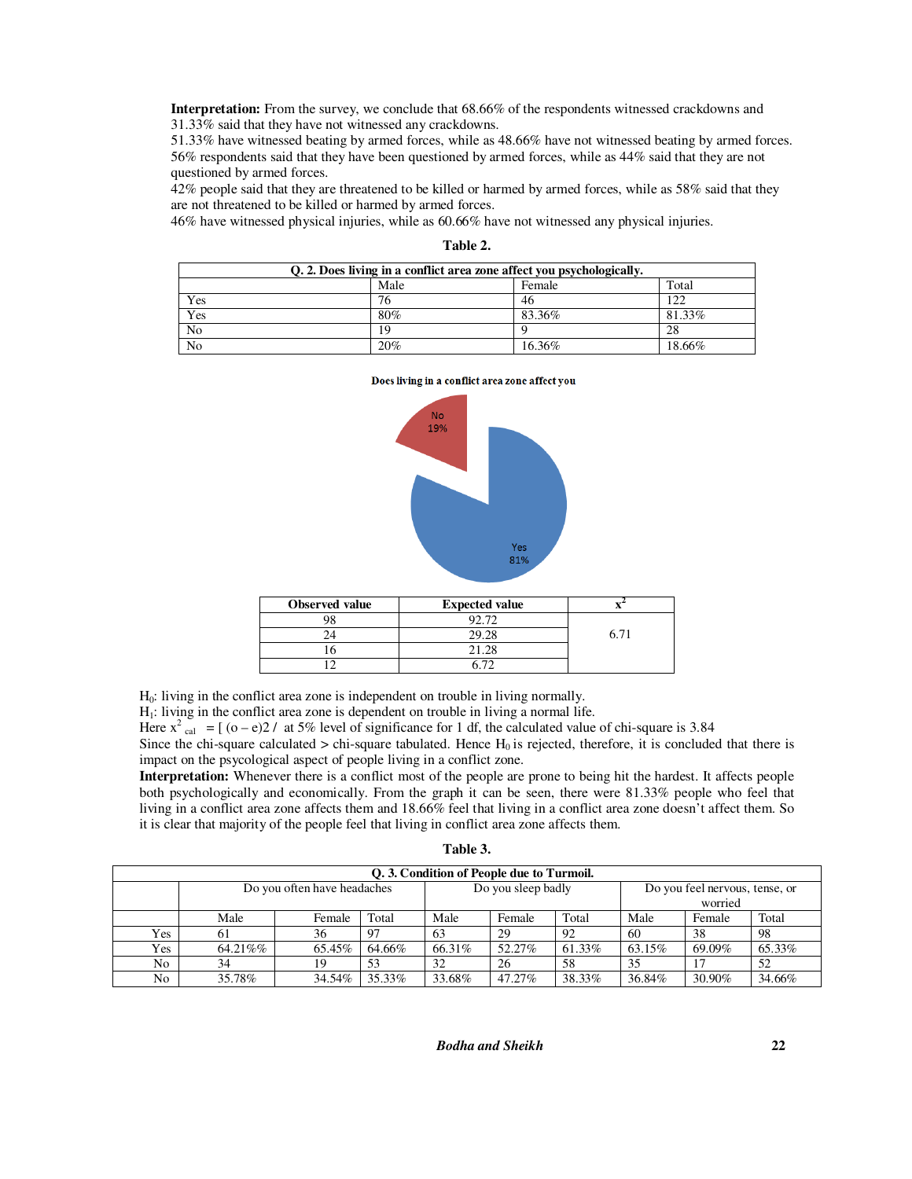**Interpretation:** From the survey, we conclude that 68.66% of the respondents witnessed crackdowns and 31.33% said that they have not witnessed any crackdowns.

51.33% have witnessed beating by armed forces, while as 48.66% have not witnessed beating by armed forces. 56% respondents said that they have been questioned by armed forces, while as 44% said that they are not questioned by armed forces.

42% people said that they are threatened to be killed or harmed by armed forces, while as 58% said that they are not threatened to be killed or harmed by armed forces.

46% have witnessed physical injuries, while as 60.66% have not witnessed any physical injuries.

| Q. 2. Does living in a conflict area zone affect you psychologically. |     |        |        |  |  |  |
|-----------------------------------------------------------------------|-----|--------|--------|--|--|--|
| Male<br>Total<br>Female                                               |     |        |        |  |  |  |
| Yes                                                                   | 76  | 46     | 122    |  |  |  |
| Yes                                                                   | 80% | 83.36% | 81.33% |  |  |  |
| N <sub>0</sub>                                                        | 19  |        | 28     |  |  |  |
| N <sub>0</sub>                                                        | 20% | 16.36% | 18.66% |  |  |  |

Does living in a conflict area zone affect you

**Table 2.** 

| No<br>19% |                                                  |
|-----------|--------------------------------------------------|
|           |                                                  |
|           | $\begin{array}{c} {\sf Yes} \\ 81\% \end{array}$ |

| Observed value | <b>Expected value</b> |      |
|----------------|-----------------------|------|
|                | 92.72                 |      |
|                | 20.28                 | 6 71 |

H0: living in the conflict area zone is independent on trouble in living normally.

 $H<sub>1</sub>$ : living in the conflict area zone is dependent on trouble in living a normal life.

Here  $x^2$ <sub>cal</sub> =  $[(o-e)2/$  at 5% level of significance for 1 df, the calculated value of chi-square is 3.84

16 21.28 12 6.72

Since the chi-square calculated > chi-square tabulated. Hence  $H_0$  is rejected, therefore, it is concluded that there is impact on the psycological aspect of people living in a conflict zone.

**Interpretation:** Whenever there is a conflict most of the people are prone to being hit the hardest. It affects people both psychologically and economically. From the graph it can be seen, there were 81.33% people who feel that living in a conflict area zone affects them and 18.66% feel that living in a conflict area zone doesn't affect them. So it is clear that majority of the people feel that living in conflict area zone affects them.

| ۱<br>n |  |
|--------|--|
|--------|--|

| Q. 3. Condition of People due to Turmoil. |                             |        |        |                    |         |                                |        |        |        |
|-------------------------------------------|-----------------------------|--------|--------|--------------------|---------|--------------------------------|--------|--------|--------|
|                                           | Do you often have headaches |        |        | Do you sleep badly |         | Do you feel nervous, tense, or |        |        |        |
|                                           |                             |        |        |                    | worried |                                |        |        |        |
|                                           | Male                        | Female | Total  | Male               | Female  | Total                          | Male   | Female | Total  |
| Yes                                       | 61                          | 36     | 97     | 63                 | 29      | 92                             | -60    | 38     | -98    |
| Yes                                       | 64.21%%                     | 65.45% | 64.66% | 66.31%             | 52.27%  | 61.33%                         | 63.15% | 69.09% | 65.33% |
| No                                        | 34                          | 19     | 53     | 32                 | 26      | 58                             | 35     |        | 52     |
| No                                        | 35.78%                      | 34.54% | 35.33% | 33.68%             | 47.27%  | 38.33%                         | 36.84% | 30.90% | 34.66% |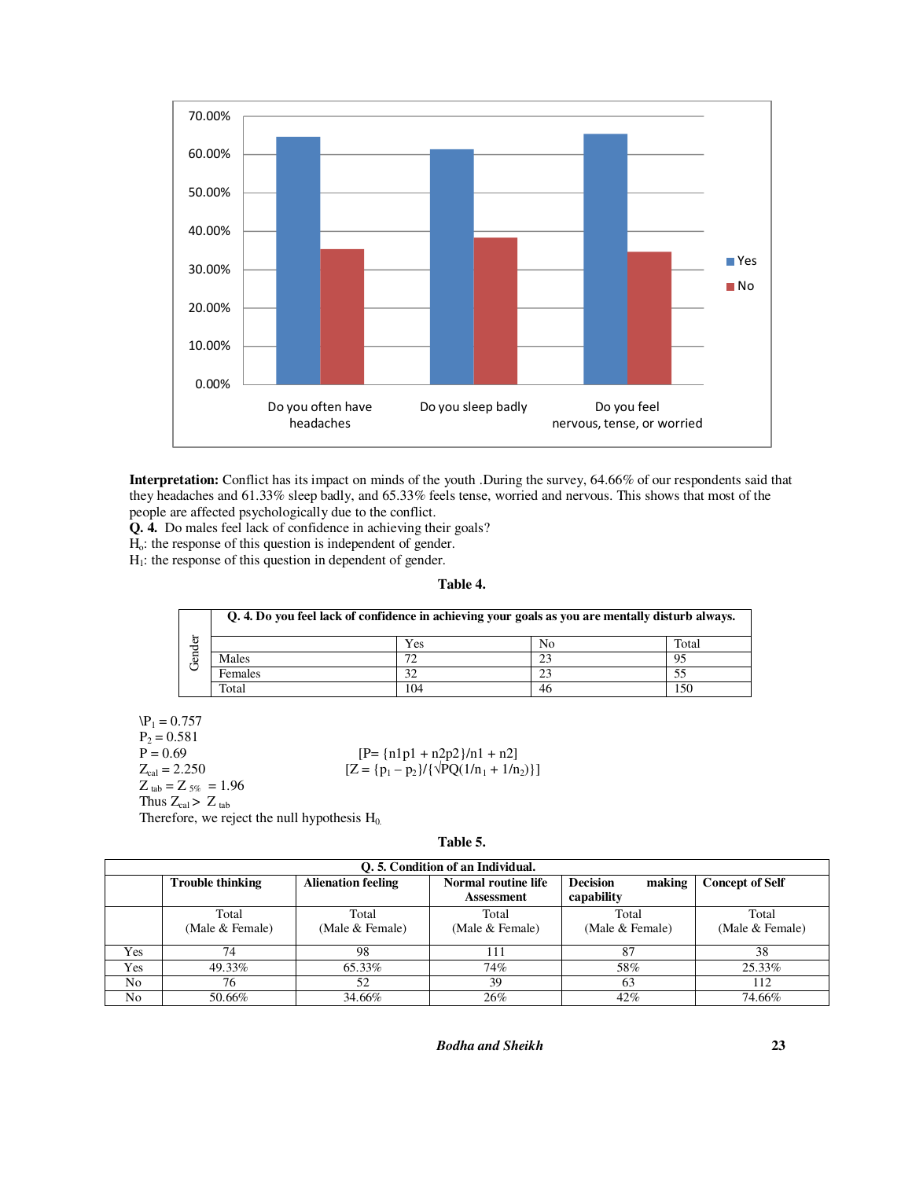

**Interpretation:** Conflict has its impact on minds of the youth .During the survey, 64.66% of our respondents said that they headaches and 61.33% sleep badly, and 65.33% feels tense, worried and nervous. This shows that most of the people are affected psychologically due to the conflict.

**Q. 4.** Do males feel lack of confidence in achieving their goals?

Ho: the response of this question is independent of gender.

 $H<sub>1</sub>$ : the response of this question in dependent of gender.

## **Table 4.**

|        | Q. 4. Do you feel lack of confidence in achieving your goals as you are mentally disturb always. |     |    |       |  |  |
|--------|--------------------------------------------------------------------------------------------------|-----|----|-------|--|--|
| ē      |                                                                                                  | Yes | No | Total |  |  |
| ឆ<br>ٿ | Males                                                                                            | 72  | 23 | 95    |  |  |
|        | Females                                                                                          | 32  |    |       |  |  |
|        | Total                                                                                            | 104 | 46 | 150   |  |  |

 $P_1 = 0.757$  $P_2 = 0.581$ <br>P = 0.69 P = 0.69 [P= {n1p1 + n2p2}/n1 + n2]<br>  $Z_{\text{cal}}$  = 2.250 [Z = {p<sub>1</sub> - p<sub>2</sub>}/{ $\sqrt{PQ(1/n_1 + 1/n)}$  $Z$   $_{\rm tab} = Z$   $_{5\%}$   $\,=1.96$ 

Thus  $Z_{cal}$  >  $Z_{tab}$ 

Therefore, we reject the null hypothesis  $H_0$ .

**Table 5.** 

 $[Z = {p_1 - p_2}/({\sqrt{PQ(1/n_1 + 1/n_2)}})]$ 

|     | O. 5. Condition of an Individual. |                           |                                          |                                         |                          |  |  |  |
|-----|-----------------------------------|---------------------------|------------------------------------------|-----------------------------------------|--------------------------|--|--|--|
|     | <b>Trouble thinking</b>           | <b>Alienation feeling</b> | Normal routine life<br><b>Assessment</b> | <b>Decision</b><br>making<br>capability | <b>Concept of Self</b>   |  |  |  |
|     | Total<br>(Male & Female)          | Total<br>(Male & Female)  | Total<br>(Male & Female)                 | Total<br>(Male & Female)                | Total<br>(Male & Female) |  |  |  |
| Yes | 74                                | 98                        | 111                                      | 87                                      | 38                       |  |  |  |
| Yes | 49.33%                            | 65.33%                    | 74%                                      | 58%                                     | 25.33%                   |  |  |  |
| No. | 76                                | 52                        | 39                                       | 63                                      | 112                      |  |  |  |
| No  | 50.66%                            | 34.66%                    | 26%                                      | 42%                                     | 74.66%                   |  |  |  |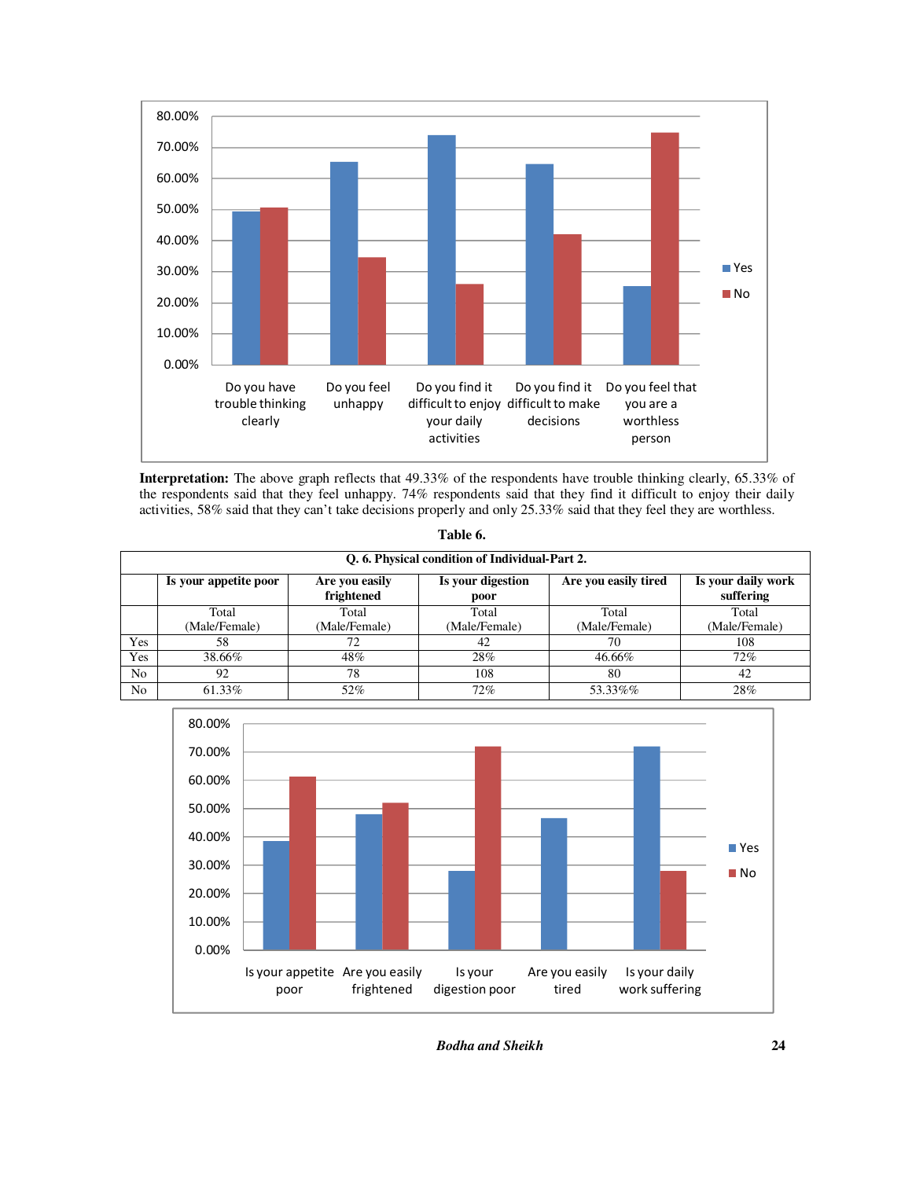

**Interpretation:** The above graph reflects that 49.33% of the respondents have trouble thinking clearly, 65.33% of the respondents said that they feel unhappy. 74% respondents said that they find it difficult to enjoy their daily activities, 58% said that they can't take decisions properly and only 25.33% said that they feel they are worthless.

|                | Q. 6. Physical condition of Individual-Part 2. |                              |                           |                        |                                 |  |  |  |
|----------------|------------------------------------------------|------------------------------|---------------------------|------------------------|---------------------------------|--|--|--|
|                | Is your appetite poor                          | Are you easily<br>frightened | Is your digestion<br>poor | Are you easily tired   | Is your daily work<br>suffering |  |  |  |
|                | Total<br>(Male/Female)                         | Total<br>(Male/Female)       | Total<br>(Male/Female)    | Total<br>(Male/Female) | Total<br>(Male/Female)          |  |  |  |
| Yes            | 58                                             |                              | 42                        | 70                     | 108                             |  |  |  |
| Yes            | 38.66%                                         | 48%                          | 28%                       | 46.66%                 | 72%                             |  |  |  |
| N <sub>o</sub> | 92                                             | 78                           | 108                       | 80                     | 42                              |  |  |  |
| N <sub>o</sub> | 61.33%                                         | 52%                          | 72%                       | 53.33%%                | 28%                             |  |  |  |



**Table 6.**